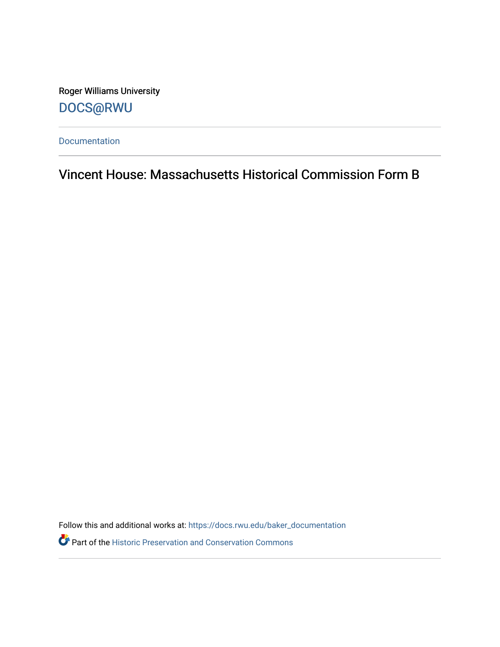Roger Williams University [DOCS@RWU](https://docs.rwu.edu/)

[Documentation](https://docs.rwu.edu/baker_documentation) 

Vincent House: Massachusetts Historical Commission Form B

Follow this and additional works at: [https://docs.rwu.edu/baker\\_documentation](https://docs.rwu.edu/baker_documentation?utm_source=docs.rwu.edu%2Fbaker_documentation%2F104&utm_medium=PDF&utm_campaign=PDFCoverPages) 

Part of the [Historic Preservation and Conservation Commons](http://network.bepress.com/hgg/discipline/781?utm_source=docs.rwu.edu%2Fbaker_documentation%2F104&utm_medium=PDF&utm_campaign=PDFCoverPages)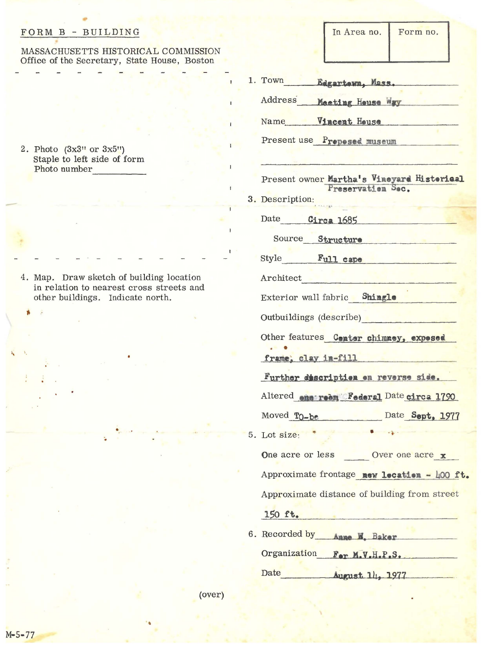## FORM B - BUILDING

## MASSACHUSETTS HISTORICAL COMMISSION Office of the Secretary, State House, Boston

2. Photo  $(3x3"$  or  $3x5"$ )<br>Staple to left side of form Photo number

4. Map. Draw sketch of building location in relation to nearest cross streets and other buildings. Indicate north.

In Area no. Form no.

| 1. Town Edgartern, Mass.                                                                                                      |
|-------------------------------------------------------------------------------------------------------------------------------|
| Address Macting House Way                                                                                                     |
| Name Vincent House                                                                                                            |
| Present use Proposed museum                                                                                                   |
| Present owner Martha's Vineyard Historical<br>Preservation Sec.                                                               |
| 3. Description:                                                                                                               |
| Date Circa 1685                                                                                                               |
| Source Structure by the state of the                                                                                          |
| Style Full cape                                                                                                               |
| Architect <b>Product</b>                                                                                                      |
| Exterior wall fabric Shingle                                                                                                  |
| Outbuildings (describe)                                                                                                       |
| Other features Center chimney, expessed<br>frame, clay in-fill                                                                |
| Further discription on reverse side.                                                                                          |
| Altered energeon Federal Date circa 1790                                                                                      |
| Moved To-be Date Sept, 1977                                                                                                   |
| and the company of the state of the state of the state of the state of the state of the state of the state of<br>5. Lot size: |
| One acre or less<br>Over one acre x                                                                                           |
| Approximate frontage new location - 400 ft.                                                                                   |
| Approximate distance of building from street                                                                                  |
| 150 ft.                                                                                                                       |
| 6. Recorded by Anne M. Baker                                                                                                  |
| Organization For M.V.H.P.S.                                                                                                   |
| Date<br>August 1/1, 1977                                                                                                      |

(over)